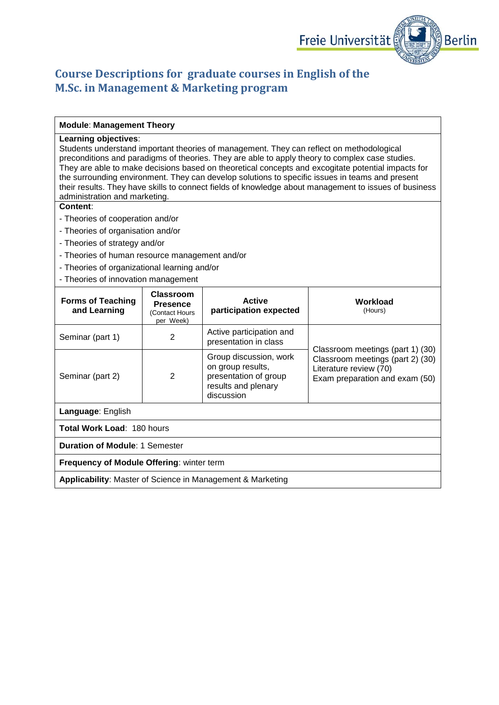

# **Course Descriptions for graduate courses in English of the M.Sc. in Management & Marketing program**

#### **Module**: **Management Theory**

#### **Learning objectives**:

Students understand important theories of management. They can reflect on methodological preconditions and paradigms of theories. They are able to apply theory to complex case studies. They are able to make decisions based on theoretical concepts and excogitate potential impacts for the surrounding environment. They can develop solutions to specific issues in teams and present their results. They have skills to connect fields of knowledge about management to issues of business administration and marketing.

- Theories of cooperation and/or
- Theories of organisation and/or
- Theories of strategy and/or
- Theories of human resource management and/or
- Theories of organizational learning and/or
- Theories of innovation management

| <b>Forms of Teaching</b><br>and Learning                              | Classroom<br><b>Presence</b><br>(Contact Hours<br>per Week) | <b>Active</b><br>participation expected                                                                   | Workload<br>(Hours)                                                                          |
|-----------------------------------------------------------------------|-------------------------------------------------------------|-----------------------------------------------------------------------------------------------------------|----------------------------------------------------------------------------------------------|
| Seminar (part 1)                                                      | 2                                                           | Active participation and<br>presentation in class                                                         | Classroom meetings (part 1) (30)                                                             |
| Seminar (part 2)                                                      | 2                                                           | Group discussion, work<br>on group results,<br>presentation of group<br>results and plenary<br>discussion | Classroom meetings (part 2) (30)<br>Literature review (70)<br>Exam preparation and exam (50) |
| Language: English                                                     |                                                             |                                                                                                           |                                                                                              |
| Total Work Load: 180 hours                                            |                                                             |                                                                                                           |                                                                                              |
| <b>Duration of Module: 1 Semester</b>                                 |                                                             |                                                                                                           |                                                                                              |
| <b>Frequency of Module Offering: winter term</b>                      |                                                             |                                                                                                           |                                                                                              |
| <b>Applicability: Master of Science in Management &amp; Marketing</b> |                                                             |                                                                                                           |                                                                                              |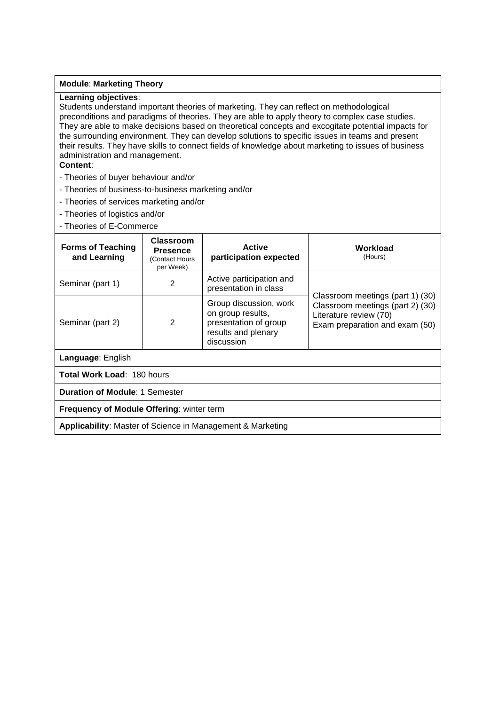#### **Module**: **Marketing Theory**

### **Learning objectives**:

Students understand important theories of marketing. They can reflect on methodological preconditions and paradigms of theories. They are able to apply theory to complex case studies. They are able to make decisions based on theoretical concepts and excogitate potential impacts for the surrounding environment. They can develop solutions to specific issues in teams and present their results. They have skills to connect fields of knowledge about marketing to issues of business administration and management.

- Theories of buyer behaviour and/or
- Theories of business-to-business marketing and/or
- Theories of services marketing and/or
- Theories of logistics and/or
- Theories of E-Commerce

| <b>Forms of Teaching</b><br>and Learning                              | <b>Classroom</b><br><b>Presence</b><br>(Contact Hours<br>per Week) | <b>Active</b><br>participation expected                                                                   | Workload<br>(Hours)                                                                                                              |
|-----------------------------------------------------------------------|--------------------------------------------------------------------|-----------------------------------------------------------------------------------------------------------|----------------------------------------------------------------------------------------------------------------------------------|
| Seminar (part 1)                                                      | 2                                                                  | Active participation and<br>presentation in class                                                         |                                                                                                                                  |
| Seminar (part 2)                                                      | 2                                                                  | Group discussion, work<br>on group results,<br>presentation of group<br>results and plenary<br>discussion | Classroom meetings (part 1) (30)<br>Classroom meetings (part 2) (30)<br>Literature review (70)<br>Exam preparation and exam (50) |
| Language: English                                                     |                                                                    |                                                                                                           |                                                                                                                                  |
| Total Work Load: 180 hours                                            |                                                                    |                                                                                                           |                                                                                                                                  |
| <b>Duration of Module: 1 Semester</b>                                 |                                                                    |                                                                                                           |                                                                                                                                  |
| <b>Frequency of Module Offering: winter term</b>                      |                                                                    |                                                                                                           |                                                                                                                                  |
| <b>Applicability: Master of Science in Management &amp; Marketing</b> |                                                                    |                                                                                                           |                                                                                                                                  |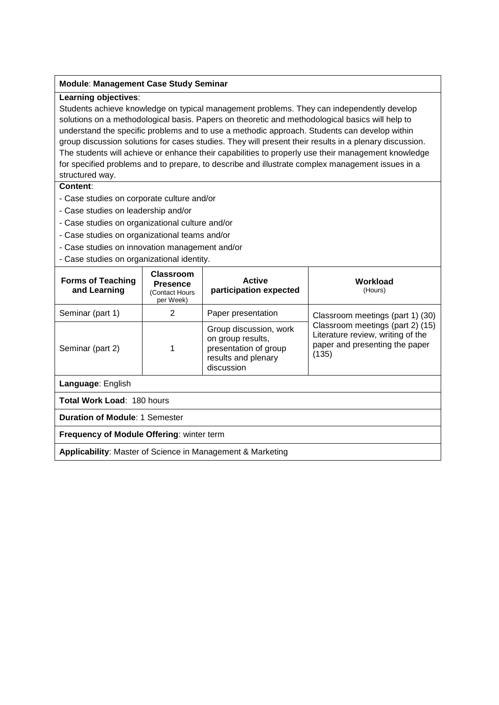### **Module**: **Management Case Study Seminar**

### **Learning objectives**:

Students achieve knowledge on typical management problems. They can independently develop solutions on a methodological basis. Papers on theoretic and methodological basics will help to understand the specific problems and to use a methodic approach. Students can develop within group discussion solutions for cases studies. They will present their results in a plenary discussion. The students will achieve or enhance their capabilities to properly use their management knowledge for specified problems and to prepare, to describe and illustrate complex management issues in a structured way.

- Case studies on corporate culture and/or
- Case studies on leadership and/or
- Case studies on organizational culture and/or
- Case studies on organizational teams and/or
- Case studies on innovation management and/or
- Case studies on organizational identity.

| <b>Forms of Teaching</b><br>and Learning                          | Classroom<br><b>Presence</b><br>(Contact Hours<br>per Week) | <b>Active</b><br>participation expected                                                                   | Workload<br>(Hours)                                                                                              |
|-------------------------------------------------------------------|-------------------------------------------------------------|-----------------------------------------------------------------------------------------------------------|------------------------------------------------------------------------------------------------------------------|
| Seminar (part 1)                                                  | 2                                                           | Paper presentation                                                                                        | Classroom meetings (part 1) (30)                                                                                 |
| Seminar (part 2)                                                  |                                                             | Group discussion, work<br>on group results,<br>presentation of group<br>results and plenary<br>discussion | Classroom meetings (part 2) (15)<br>Literature review, writing of the<br>paper and presenting the paper<br>(135) |
| Language: English                                                 |                                                             |                                                                                                           |                                                                                                                  |
| Total Work Load: 180 hours                                        |                                                             |                                                                                                           |                                                                                                                  |
| <b>Duration of Module: 1 Semester</b>                             |                                                             |                                                                                                           |                                                                                                                  |
| <b>Frequency of Module Offering: winter term</b>                  |                                                             |                                                                                                           |                                                                                                                  |
| <b>Applicability:</b> Master of Science in Management & Marketing |                                                             |                                                                                                           |                                                                                                                  |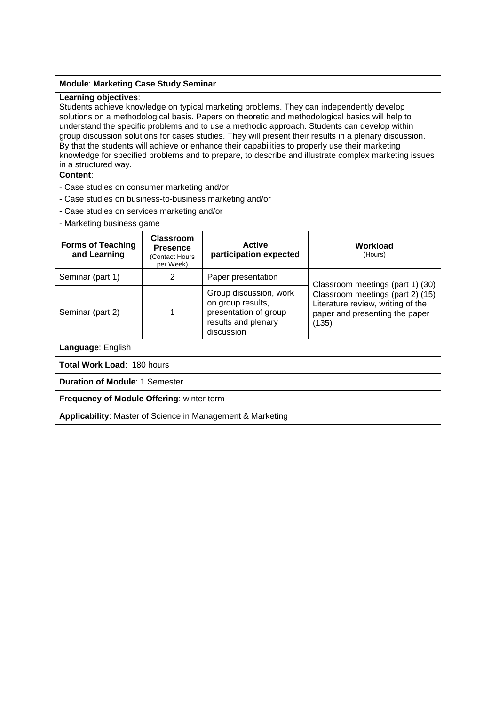#### **Module**: **Marketing Case Study Seminar**

### **Learning objectives**:

Students achieve knowledge on typical marketing problems. They can independently develop solutions on a methodological basis. Papers on theoretic and methodological basics will help to understand the specific problems and to use a methodic approach. Students can develop within group discussion solutions for cases studies. They will present their results in a plenary discussion. By that the students will achieve or enhance their capabilities to properly use their marketing knowledge for specified problems and to prepare, to describe and illustrate complex marketing issues in a structured way.

- Case studies on consumer marketing and/or
- Case studies on business-to-business marketing and/or
- Case studies on services marketing and/or
- Marketing business game

| <b>Forms of Teaching</b><br>and Learning                              | Classroom<br><b>Presence</b><br>(Contact Hours<br>per Week) | <b>Active</b><br>participation expected                                                                   | Workload<br>(Hours)                                                                                              |
|-----------------------------------------------------------------------|-------------------------------------------------------------|-----------------------------------------------------------------------------------------------------------|------------------------------------------------------------------------------------------------------------------|
| Seminar (part 1)                                                      | 2                                                           | Paper presentation                                                                                        | Classroom meetings (part 1) (30)                                                                                 |
| Seminar (part 2)                                                      |                                                             | Group discussion, work<br>on group results,<br>presentation of group<br>results and plenary<br>discussion | Classroom meetings (part 2) (15)<br>Literature review, writing of the<br>paper and presenting the paper<br>(135) |
| Language: English                                                     |                                                             |                                                                                                           |                                                                                                                  |
| <b>Total Work Load: 180 hours</b>                                     |                                                             |                                                                                                           |                                                                                                                  |
| <b>Duration of Module: 1 Semester</b>                                 |                                                             |                                                                                                           |                                                                                                                  |
| <b>Frequency of Module Offering: winter term</b>                      |                                                             |                                                                                                           |                                                                                                                  |
| <b>Applicability: Master of Science in Management &amp; Marketing</b> |                                                             |                                                                                                           |                                                                                                                  |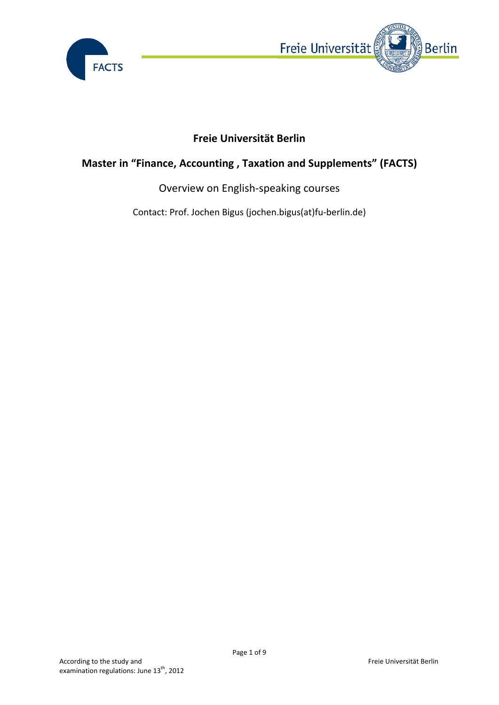



# **Freie Universität Berlin**

# **Master in "Finance, Accounting , Taxation and Supplements" (FACTS)**

### Overview on English‐speaking courses

Contact: Prof. Jochen Bigus (jochen.bigus(at)fu‐berlin.de)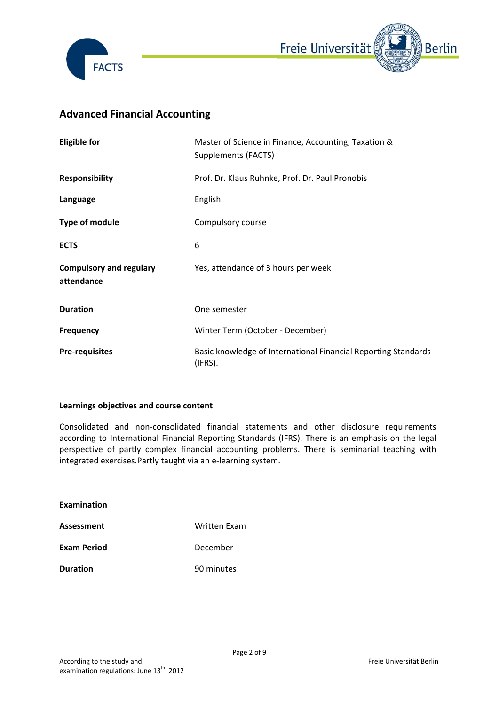



# **Advanced Financial Accounting**

| <b>Eligible for</b>                          | Master of Science in Finance, Accounting, Taxation &<br><b>Supplements (FACTS)</b> |
|----------------------------------------------|------------------------------------------------------------------------------------|
| <b>Responsibility</b>                        | Prof. Dr. Klaus Ruhnke, Prof. Dr. Paul Pronobis                                    |
| Language                                     | English                                                                            |
| <b>Type of module</b>                        | Compulsory course                                                                  |
| <b>ECTS</b>                                  | 6                                                                                  |
| <b>Compulsory and regulary</b><br>attendance | Yes, attendance of 3 hours per week                                                |
| <b>Duration</b>                              | One semester                                                                       |
| <b>Frequency</b>                             | Winter Term (October - December)                                                   |
| <b>Pre-requisites</b>                        | Basic knowledge of International Financial Reporting Standards<br>(IFRS).          |

### **Learnings objectives and course content**

Consolidated and non‐consolidated financial statements and other disclosure requirements according to International Financial Reporting Standards (IFRS). There is an emphasis on the legal perspective of partly complex financial accounting problems. There is seminarial teaching with integrated exercises.Partly taught via an e‐learning system.

| Examination        |              |
|--------------------|--------------|
| Assessment         | Written Fxam |
| <b>Exam Period</b> | December     |
| <b>Duration</b>    | 90 minutes   |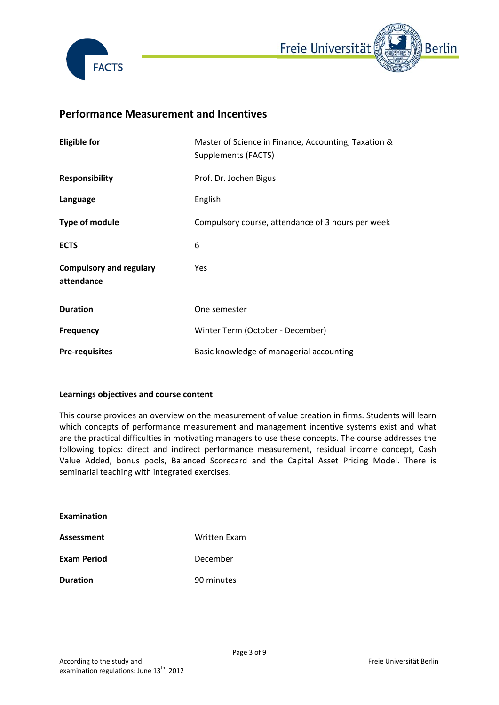



### **Performance Measurement and Incentives**

| <b>Eligible for</b>                          | Master of Science in Finance, Accounting, Taxation &<br>Supplements (FACTS) |
|----------------------------------------------|-----------------------------------------------------------------------------|
| <b>Responsibility</b>                        | Prof. Dr. Jochen Bigus                                                      |
| Language                                     | English                                                                     |
| Type of module                               | Compulsory course, attendance of 3 hours per week                           |
| <b>ECTS</b>                                  | 6                                                                           |
| <b>Compulsory and regulary</b><br>attendance | Yes                                                                         |
| <b>Duration</b>                              | One semester                                                                |
| <b>Frequency</b>                             | Winter Term (October - December)                                            |
| <b>Pre-requisites</b>                        | Basic knowledge of managerial accounting                                    |

### **Learnings objectives and course content**

This course provides an overview on the measurement of value creation in firms. Students will learn which concepts of performance measurement and management incentive systems exist and what are the practical difficulties in motivating managers to use these concepts. The course addresses the following topics: direct and indirect performance measurement, residual income concept, Cash Value Added, bonus pools, Balanced Scorecard and the Capital Asset Pricing Model. There is seminarial teaching with integrated exercises.

| <b>Examination</b> |              |
|--------------------|--------------|
| Assessment         | Written Fxam |
| <b>Exam Period</b> | December     |
| <b>Duration</b>    | 90 minutes   |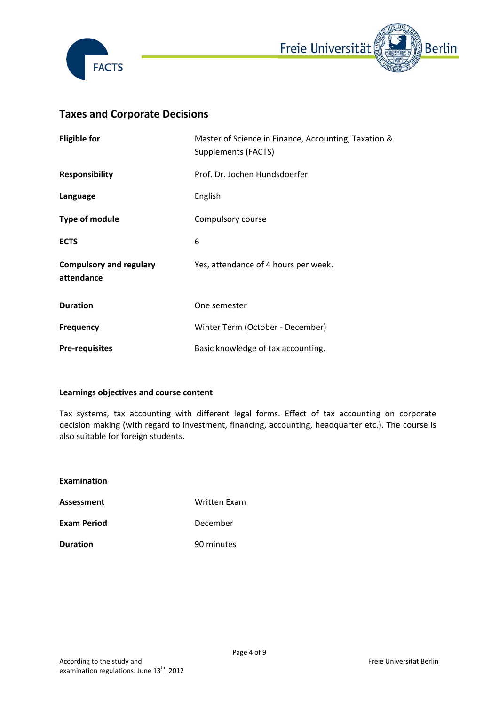



### **Taxes and Corporate Decisions**

| <b>Eligible for</b>                          | Master of Science in Finance, Accounting, Taxation &<br>Supplements (FACTS) |
|----------------------------------------------|-----------------------------------------------------------------------------|
| <b>Responsibility</b>                        | Prof. Dr. Jochen Hundsdoerfer                                               |
| Language                                     | English                                                                     |
| <b>Type of module</b>                        | Compulsory course                                                           |
| <b>ECTS</b>                                  | 6                                                                           |
| <b>Compulsory and regulary</b><br>attendance | Yes, attendance of 4 hours per week.                                        |
| <b>Duration</b>                              | One semester                                                                |
| <b>Frequency</b>                             | Winter Term (October - December)                                            |
| <b>Pre-requisites</b>                        | Basic knowledge of tax accounting.                                          |

### **Learnings objectives and course content**

Tax systems, tax accounting with different legal forms. Effect of tax accounting on corporate decision making (with regard to investment, financing, accounting, headquarter etc.). The course is also suitable for foreign students.

| Examination        |              |
|--------------------|--------------|
| <b>Assessment</b>  | Written Exam |
| <b>Exam Period</b> | December     |
| <b>Duration</b>    | 90 minutes   |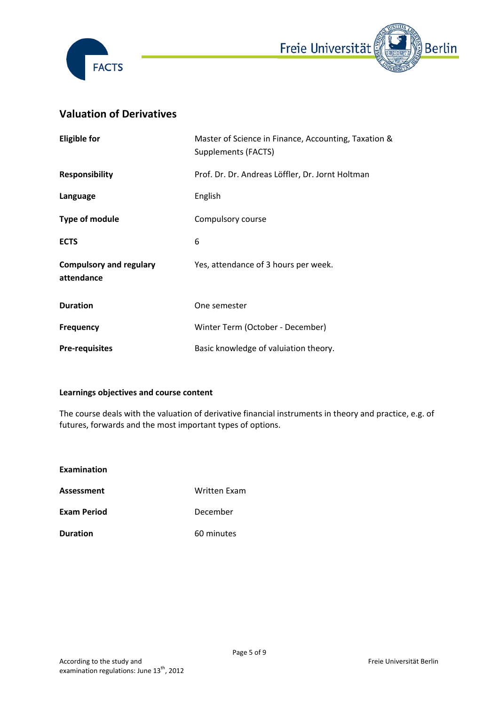



### **Valuation of Derivatives**

| <b>Eligible for</b>                          | Master of Science in Finance, Accounting, Taxation &<br>Supplements (FACTS) |
|----------------------------------------------|-----------------------------------------------------------------------------|
| <b>Responsibility</b>                        | Prof. Dr. Dr. Andreas Löffler, Dr. Jornt Holtman                            |
| Language                                     | English                                                                     |
| Type of module                               | Compulsory course                                                           |
| <b>ECTS</b>                                  | 6                                                                           |
| <b>Compulsory and regulary</b><br>attendance | Yes, attendance of 3 hours per week.                                        |
| <b>Duration</b>                              | One semester                                                                |
| <b>Frequency</b>                             | Winter Term (October - December)                                            |
| <b>Pre-requisites</b>                        | Basic knowledge of valuiation theory.                                       |

### **Learnings objectives and course content**

The course deals with the valuation of derivative financial instruments in theory and practice, e.g. of futures, forwards and the most important types of options.

- **Examination**
- **Assessment** Written Exam
- **Exam Period** December
- **Duration** 60 minutes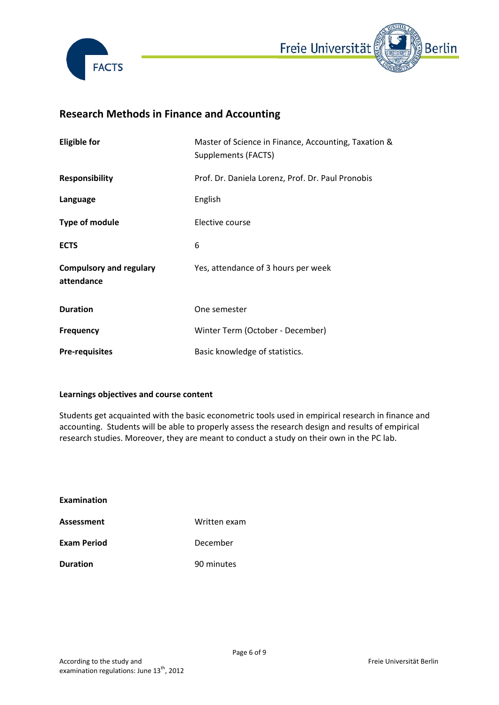



# **Research Methods in Finance and Accounting**

| <b>Eligible for</b>                          | Master of Science in Finance, Accounting, Taxation &<br>Supplements (FACTS) |
|----------------------------------------------|-----------------------------------------------------------------------------|
| <b>Responsibility</b>                        | Prof. Dr. Daniela Lorenz, Prof. Dr. Paul Pronobis                           |
| Language                                     | English                                                                     |
| Type of module                               | Elective course                                                             |
| <b>ECTS</b>                                  | 6                                                                           |
| <b>Compulsory and regulary</b><br>attendance | Yes, attendance of 3 hours per week                                         |
| <b>Duration</b>                              | One semester                                                                |
| <b>Frequency</b>                             | Winter Term (October - December)                                            |
| <b>Pre-requisites</b>                        | Basic knowledge of statistics.                                              |

### **Learnings objectives and course content**

Students get acquainted with the basic econometric tools used in empirical research in finance and accounting. Students will be able to properly assess the research design and results of empirical research studies. Moreover, they are meant to conduct a study on their own in the PC lab.

| Examination        |              |
|--------------------|--------------|
| Assessment         | Written exam |
| <b>Exam Period</b> | December     |
| <b>Duration</b>    | 90 minutes   |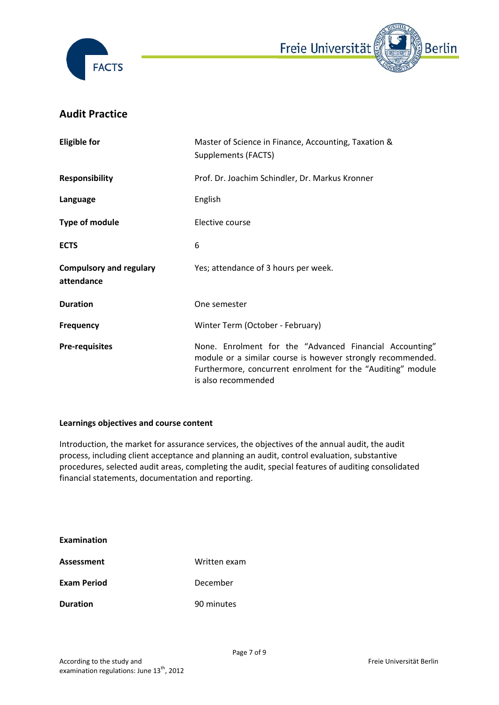



### **Audit Practice**

| <b>Eligible for</b>                          | Master of Science in Finance, Accounting, Taxation &<br>Supplements (FACTS)                                                                                                                                  |
|----------------------------------------------|--------------------------------------------------------------------------------------------------------------------------------------------------------------------------------------------------------------|
| <b>Responsibility</b>                        | Prof. Dr. Joachim Schindler, Dr. Markus Kronner                                                                                                                                                              |
| Language                                     | English                                                                                                                                                                                                      |
| <b>Type of module</b>                        | Elective course                                                                                                                                                                                              |
| <b>ECTS</b>                                  | 6                                                                                                                                                                                                            |
| <b>Compulsory and regulary</b><br>attendance | Yes; attendance of 3 hours per week.                                                                                                                                                                         |
| <b>Duration</b>                              | One semester                                                                                                                                                                                                 |
| <b>Frequency</b>                             | Winter Term (October - February)                                                                                                                                                                             |
| <b>Pre-requisites</b>                        | None. Enrolment for the "Advanced Financial Accounting"<br>module or a similar course is however strongly recommended.<br>Furthermore, concurrent enrolment for the "Auditing" module<br>is also recommended |

### **Learnings objectives and course content**

Introduction, the market for assurance services, the objectives of the annual audit, the audit process, including client acceptance and planning an audit, control evaluation, substantive procedures, selected audit areas, completing the audit, special features of auditing consolidated financial statements, documentation and reporting.

| Examination        |              |
|--------------------|--------------|
| Assessment         | Written exam |
| <b>Exam Period</b> | December     |
| <b>Duration</b>    | 90 minutes   |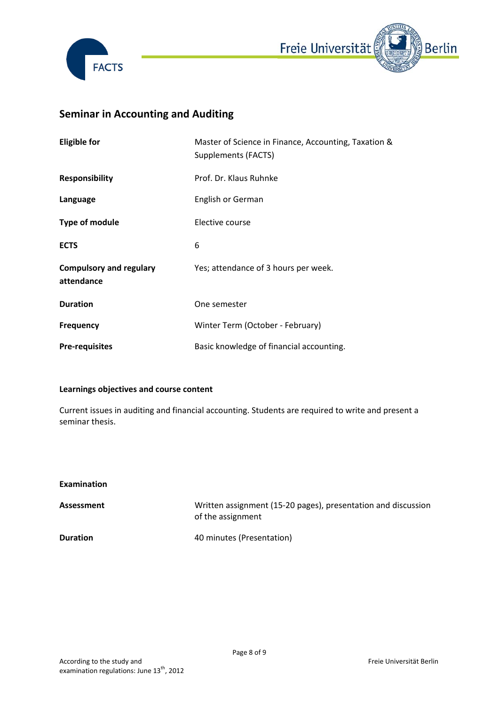



# **Seminar in Accounting and Auditing**

| <b>Eligible for</b>                          | Master of Science in Finance, Accounting, Taxation &<br>Supplements (FACTS) |
|----------------------------------------------|-----------------------------------------------------------------------------|
| <b>Responsibility</b>                        | Prof. Dr. Klaus Ruhnke                                                      |
| Language                                     | English or German                                                           |
| Type of module                               | Elective course                                                             |
| <b>ECTS</b>                                  | 6                                                                           |
| <b>Compulsory and regulary</b><br>attendance | Yes; attendance of 3 hours per week.                                        |
| <b>Duration</b>                              | One semester                                                                |
| <b>Frequency</b>                             | Winter Term (October - February)                                            |
| <b>Pre-requisites</b>                        | Basic knowledge of financial accounting.                                    |

### **Learnings objectives and course content**

Current issues in auditing and financial accounting. Students are required to write and present a seminar thesis.

| <b>Examination</b> |                                                                                    |
|--------------------|------------------------------------------------------------------------------------|
| Assessment         | Written assignment (15-20 pages), presentation and discussion<br>of the assignment |
| <b>Duration</b>    | 40 minutes (Presentation)                                                          |